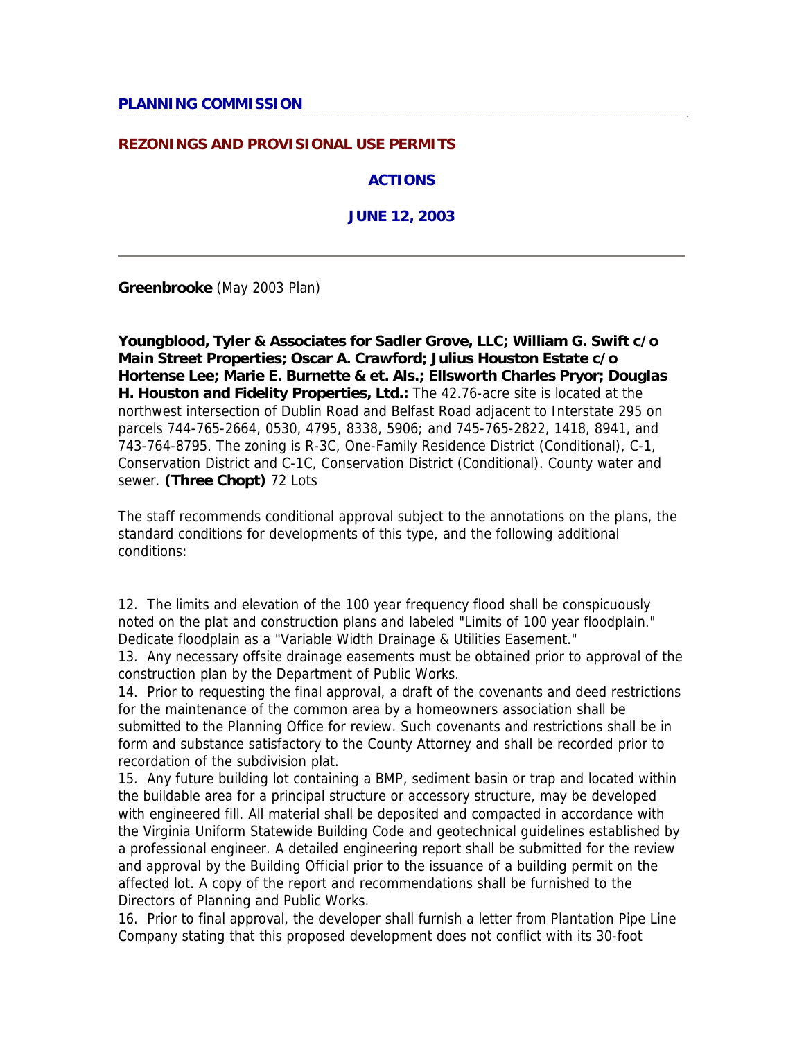### **REZONINGS AND PROVISIONAL USE PERMITS**

**ACTIONS**

**JUNE 12, 2003**

**Greenbrooke** (May 2003 Plan)

**Youngblood, Tyler & Associates for Sadler Grove, LLC; William G. Swift c/o Main Street Properties; Oscar A. Crawford; Julius Houston Estate c/o Hortense Lee; Marie E. Burnette & et. Als.; Ellsworth Charles Pryor; Douglas H. Houston and Fidelity Properties, Ltd.:** The 42.76-acre site is located at the northwest intersection of Dublin Road and Belfast Road adjacent to Interstate 295 on parcels 744-765-2664, 0530, 4795, 8338, 5906; and 745-765-2822, 1418, 8941, and 743-764-8795. The zoning is R-3C, One-Family Residence District (Conditional), C-1, Conservation District and C-1C, Conservation District (Conditional). County water and sewer. **(Three Chopt)** 72 Lots

The staff recommends conditional approval subject to the annotations on the plans, the standard conditions for developments of this type, and the following additional conditions:

12. The limits and elevation of the 100 year frequency flood shall be conspicuously noted on the plat and construction plans and labeled "Limits of 100 year floodplain." Dedicate floodplain as a "Variable Width Drainage & Utilities Easement."

13. Any necessary offsite drainage easements must be obtained prior to approval of the construction plan by the Department of Public Works.

14. Prior to requesting the final approval, a draft of the covenants and deed restrictions for the maintenance of the common area by a homeowners association shall be submitted to the Planning Office for review. Such covenants and restrictions shall be in form and substance satisfactory to the County Attorney and shall be recorded prior to recordation of the subdivision plat.

15. Any future building lot containing a BMP, sediment basin or trap and located within the buildable area for a principal structure or accessory structure, may be developed with engineered fill. All material shall be deposited and compacted in accordance with the Virginia Uniform Statewide Building Code and geotechnical guidelines established by a professional engineer. A detailed engineering report shall be submitted for the review and approval by the Building Official prior to the issuance of a building permit on the affected lot. A copy of the report and recommendations shall be furnished to the Directors of Planning and Public Works.

16. Prior to final approval, the developer shall furnish a letter from Plantation Pipe Line Company stating that this proposed development does not conflict with its 30-foot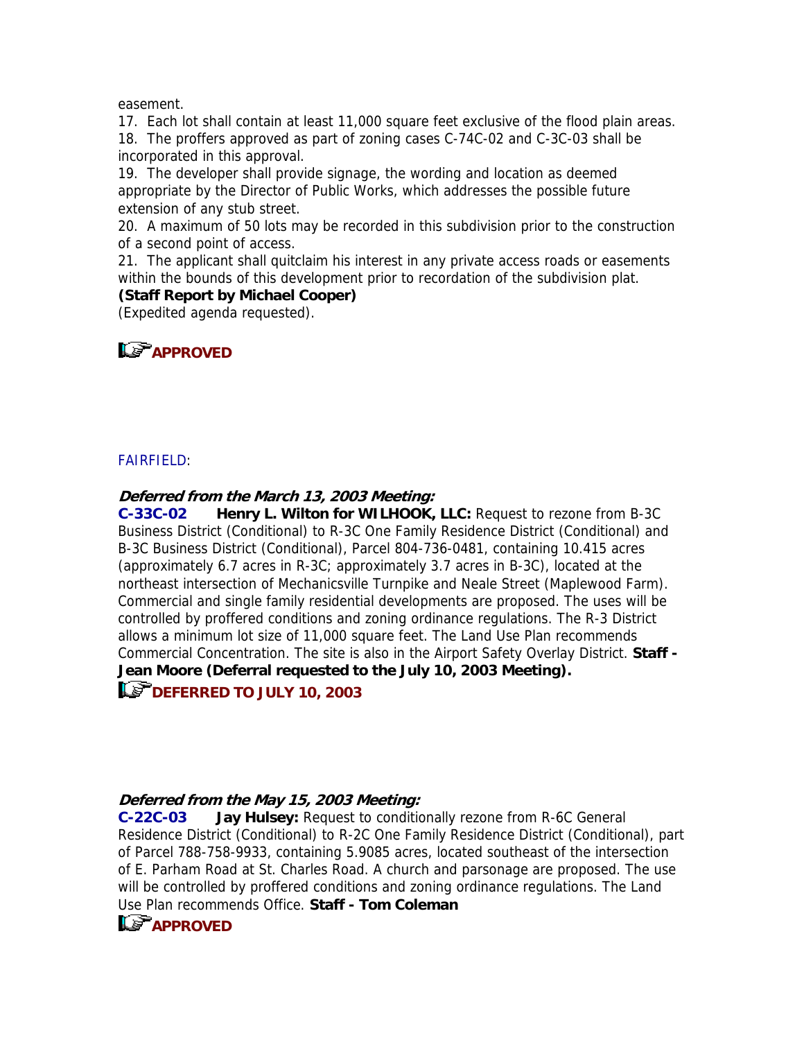easement.

17. Each lot shall contain at least 11,000 square feet exclusive of the flood plain areas. 18. The proffers approved as part of zoning cases C-74C-02 and C-3C-03 shall be incorporated in this approval.

19. The developer shall provide signage, the wording and location as deemed appropriate by the Director of Public Works, which addresses the possible future extension of any stub street.

20. A maximum of 50 lots may be recorded in this subdivision prior to the construction of a second point of access.

21. The applicant shall quitclaim his interest in any private access roads or easements within the bounds of this development prior to recordation of the subdivision plat.

### **(Staff Report by Michael Cooper)**

(Expedited agenda requested).



### FAIRFIELD:

### **Deferred from the March 13, 2003 Meeting:**

**C-33C-02 Henry L. Wilton for WILHOOK, LLC:** Request to rezone from B-3C Business District (Conditional) to R-3C One Family Residence District (Conditional) and B-3C Business District (Conditional), Parcel 804-736-0481, containing 10.415 acres (approximately 6.7 acres in R-3C; approximately 3.7 acres in B-3C), located at the northeast intersection of Mechanicsville Turnpike and Neale Street (Maplewood Farm). Commercial and single family residential developments are proposed. The uses will be controlled by proffered conditions and zoning ordinance regulations. The R-3 District allows a minimum lot size of 11,000 square feet. The Land Use Plan recommends Commercial Concentration. The site is also in the Airport Safety Overlay District. **Staff - Jean Moore (Deferral requested to the July 10, 2003 Meeting).**

## **Le<sup>P</sup> DEFERRED TO JULY 10, 2003**

### **Deferred from the May 15, 2003 Meeting:**

**C-22C-03 Jay Hulsey:** Request to conditionally rezone from R-6C General Residence District (Conditional) to R-2C One Family Residence District (Conditional), part of Parcel 788-758-9933, containing 5.9085 acres, located southeast of the intersection of E. Parham Road at St. Charles Road. A church and parsonage are proposed. The use will be controlled by proffered conditions and zoning ordinance regulations. The Land Use Plan recommends Office. **Staff - Tom Coleman**

# **APPROVED**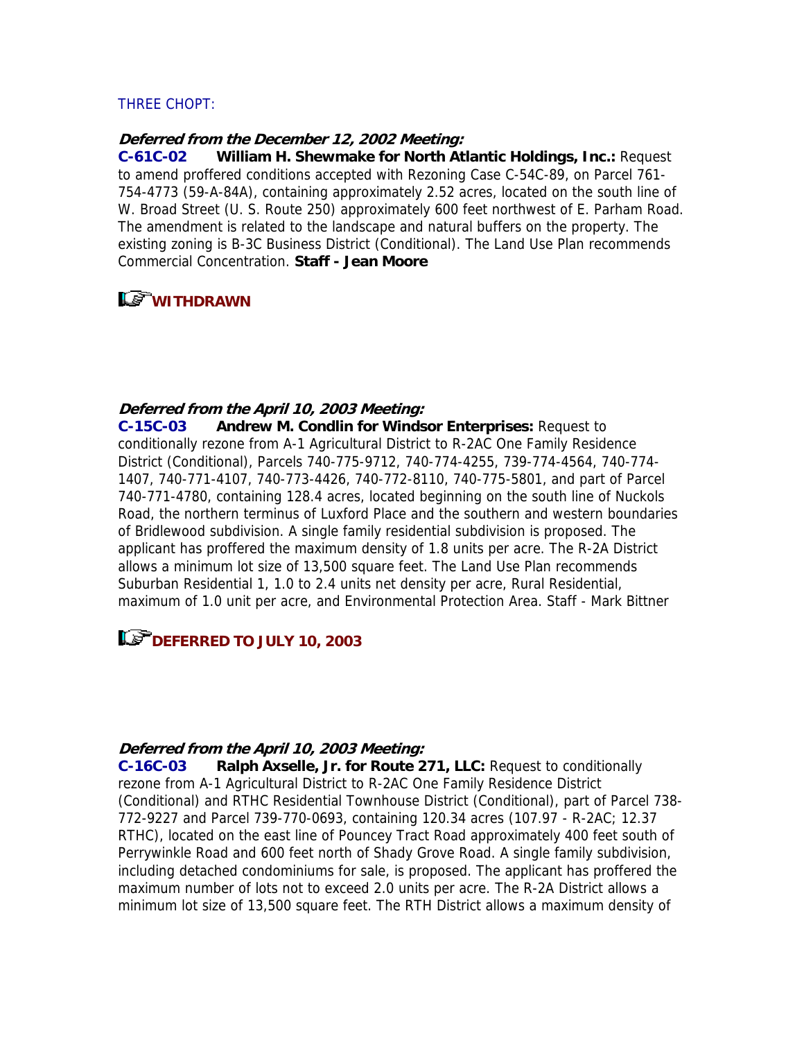### THREE CHOPT:

### **Deferred from the December 12, 2002 Meeting:**

**C-61C-02 William H. Shewmake for North Atlantic Holdings, Inc.:** Request to amend proffered conditions accepted with Rezoning Case C-54C-89, on Parcel 761- 754-4773 (59-A-84A), containing approximately 2.52 acres, located on the south line of W. Broad Street (U. S. Route 250) approximately 600 feet northwest of E. Parham Road. The amendment is related to the landscape and natural buffers on the property. The existing zoning is B-3C Business District (Conditional). The Land Use Plan recommends Commercial Concentration. **Staff - Jean Moore**

# **WITHDRAWN**

#### **Deferred from the April 10, 2003 Meeting:**

**C-15C-03 Andrew M. Condlin for Windsor Enterprises:** Request to conditionally rezone from A-1 Agricultural District to R-2AC One Family Residence District (Conditional), Parcels 740-775-9712, 740-774-4255, 739-774-4564, 740-774- 1407, 740-771-4107, 740-773-4426, 740-772-8110, 740-775-5801, and part of Parcel 740-771-4780, containing 128.4 acres, located beginning on the south line of Nuckols Road, the northern terminus of Luxford Place and the southern and western boundaries of Bridlewood subdivision. A single family residential subdivision is proposed. The applicant has proffered the maximum density of 1.8 units per acre. The R-2A District allows a minimum lot size of 13,500 square feet. The Land Use Plan recommends Suburban Residential 1, 1.0 to 2.4 units net density per acre, Rural Residential, maximum of 1.0 unit per acre, and Environmental Protection Area. Staff - Mark Bittner

### **LET DEFERRED TO JULY 10, 2003**

#### **Deferred from the April 10, 2003 Meeting:**

**C-16C-03 Ralph Axselle, Jr. for Route 271, LLC:** Request to conditionally rezone from A-1 Agricultural District to R-2AC One Family Residence District (Conditional) and RTHC Residential Townhouse District (Conditional), part of Parcel 738- 772-9227 and Parcel 739-770-0693, containing 120.34 acres (107.97 - R-2AC; 12.37 RTHC), located on the east line of Pouncey Tract Road approximately 400 feet south of Perrywinkle Road and 600 feet north of Shady Grove Road. A single family subdivision, including detached condominiums for sale, is proposed. The applicant has proffered the maximum number of lots not to exceed 2.0 units per acre. The R-2A District allows a minimum lot size of 13,500 square feet. The RTH District allows a maximum density of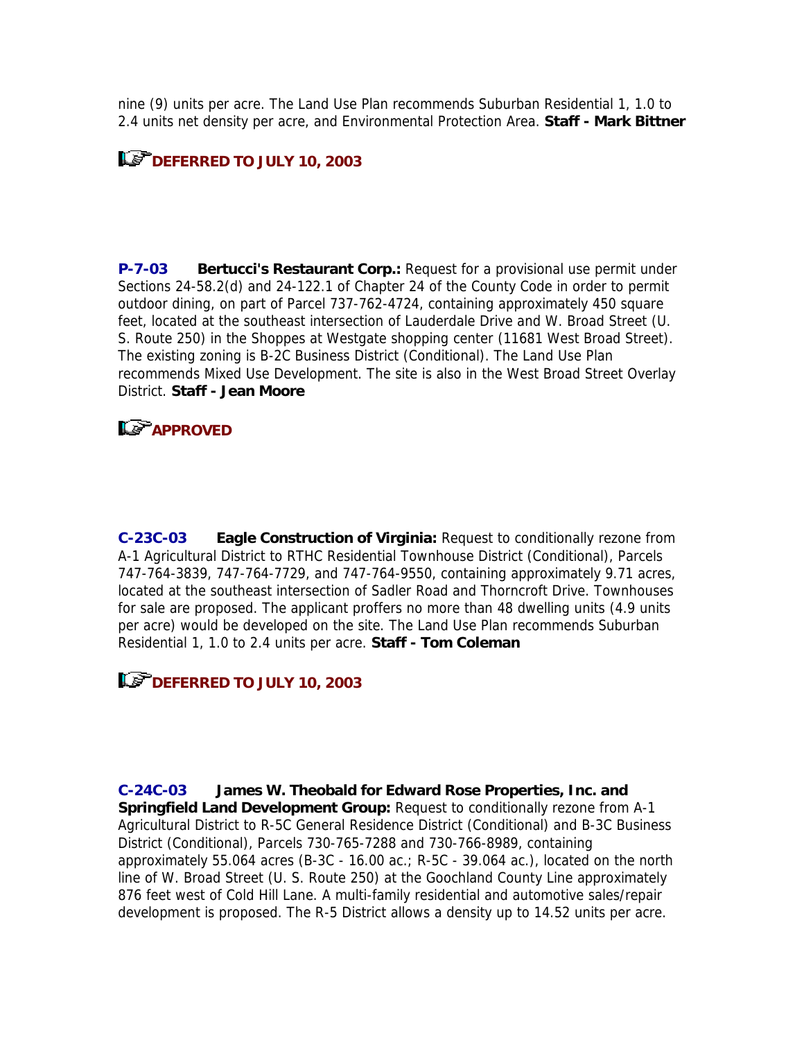nine (9) units per acre. The Land Use Plan recommends Suburban Residential 1, 1.0 to 2.4 units net density per acre, and Environmental Protection Area. **Staff - Mark Bittner**

# **DEFERRED TO JULY 10, 2003**

**P-7-03 Bertucci's Restaurant Corp.:** Request for a provisional use permit under Sections 24-58.2(d) and 24-122.1 of Chapter 24 of the County Code in order to permit outdoor dining, on part of Parcel 737-762-4724, containing approximately 450 square feet, located at the southeast intersection of Lauderdale Drive and W. Broad Street (U. S. Route 250) in the Shoppes at Westgate shopping center (11681 West Broad Street). The existing zoning is B-2C Business District (Conditional). The Land Use Plan recommends Mixed Use Development. The site is also in the West Broad Street Overlay District. **Staff - Jean Moore**

## **LE APPROVED**

**C-23C-03 Eagle Construction of Virginia:** Request to conditionally rezone from A-1 Agricultural District to RTHC Residential Townhouse District (Conditional), Parcels 747-764-3839, 747-764-7729, and 747-764-9550, containing approximately 9.71 acres, located at the southeast intersection of Sadler Road and Thorncroft Drive. Townhouses for sale are proposed. The applicant proffers no more than 48 dwelling units (4.9 units per acre) would be developed on the site. The Land Use Plan recommends Suburban Residential 1, 1.0 to 2.4 units per acre. **Staff - Tom Coleman**

## **LET DEFERRED TO JULY 10, 2003**

**C-24C-03 James W. Theobald for Edward Rose Properties, Inc. and Springfield Land Development Group:** Request to conditionally rezone from A-1 Agricultural District to R-5C General Residence District (Conditional) and B-3C Business District (Conditional), Parcels 730-765-7288 and 730-766-8989, containing approximately 55.064 acres (B-3C - 16.00 ac.; R-5C - 39.064 ac.), located on the north line of W. Broad Street (U. S. Route 250) at the Goochland County Line approximately 876 feet west of Cold Hill Lane. A multi-family residential and automotive sales/repair development is proposed. The R-5 District allows a density up to 14.52 units per acre.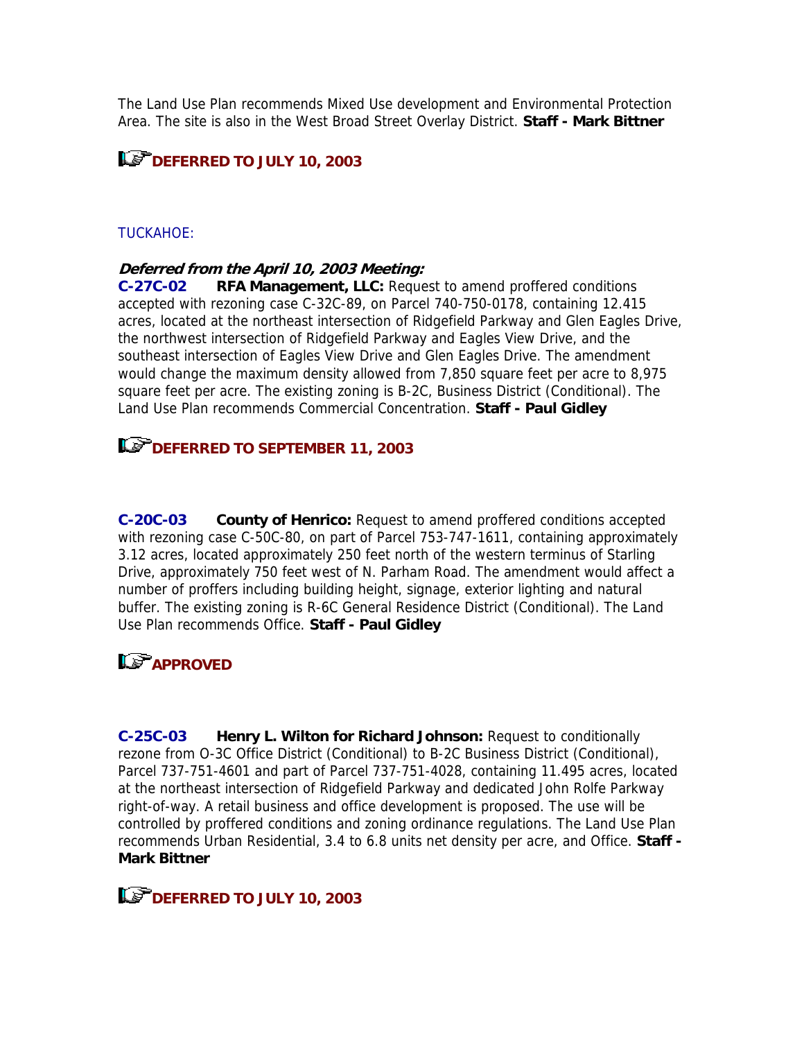The Land Use Plan recommends Mixed Use development and Environmental Protection Area. The site is also in the West Broad Street Overlay District. **Staff - Mark Bittner**

# **DEFERRED TO JULY 10, 2003**

### TUCKAHOE:

### **Deferred from the April 10, 2003 Meeting:**

**C-27C-02 RFA Management, LLC:** Request to amend proffered conditions accepted with rezoning case C-32C-89, on Parcel 740-750-0178, containing 12.415 acres, located at the northeast intersection of Ridgefield Parkway and Glen Eagles Drive, the northwest intersection of Ridgefield Parkway and Eagles View Drive, and the southeast intersection of Eagles View Drive and Glen Eagles Drive. The amendment would change the maximum density allowed from 7,850 square feet per acre to 8,975 square feet per acre. The existing zoning is B-2C, Business District (Conditional). The Land Use Plan recommends Commercial Concentration. **Staff - Paul Gidley**

### **DEFERRED TO SEPTEMBER 11, 2003**

**C-20C-03 County of Henrico:** Request to amend proffered conditions accepted with rezoning case C-50C-80, on part of Parcel 753-747-1611, containing approximately 3.12 acres, located approximately 250 feet north of the western terminus of Starling Drive, approximately 750 feet west of N. Parham Road. The amendment would affect a number of proffers including building height, signage, exterior lighting and natural buffer. The existing zoning is R-6C General Residence District (Conditional). The Land Use Plan recommends Office. **Staff - Paul Gidley**

# **Le<sup></sup>APPROVED**

**C-25C-03 Henry L. Wilton for Richard Johnson:** Request to conditionally rezone from O-3C Office District (Conditional) to B-2C Business District (Conditional), Parcel 737-751-4601 and part of Parcel 737-751-4028, containing 11.495 acres, located at the northeast intersection of Ridgefield Parkway and dedicated John Rolfe Parkway right-of-way. A retail business and office development is proposed. The use will be controlled by proffered conditions and zoning ordinance regulations. The Land Use Plan recommends Urban Residential, 3.4 to 6.8 units net density per acre, and Office. **Staff - Mark Bittner**

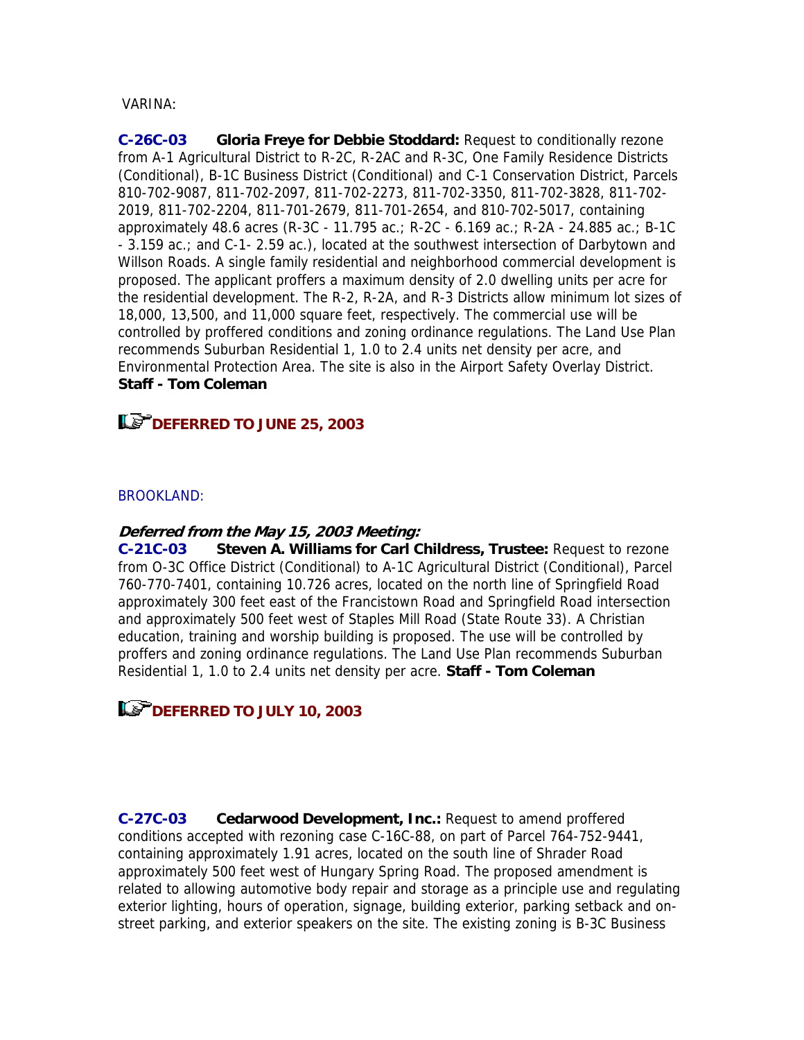### VARINA:

**C-26C-03 Gloria Freye for Debbie Stoddard:** Request to conditionally rezone from A-1 Agricultural District to R-2C, R-2AC and R-3C, One Family Residence Districts (Conditional), B-1C Business District (Conditional) and C-1 Conservation District, Parcels 810-702-9087, 811-702-2097, 811-702-2273, 811-702-3350, 811-702-3828, 811-702- 2019, 811-702-2204, 811-701-2679, 811-701-2654, and 810-702-5017, containing approximately 48.6 acres (R-3C - 11.795 ac.; R-2C - 6.169 ac.; R-2A - 24.885 ac.; B-1C - 3.159 ac.; and C-1- 2.59 ac.), located at the southwest intersection of Darbytown and Willson Roads. A single family residential and neighborhood commercial development is proposed. The applicant proffers a maximum density of 2.0 dwelling units per acre for the residential development. The R-2, R-2A, and R-3 Districts allow minimum lot sizes of 18,000, 13,500, and 11,000 square feet, respectively. The commercial use will be controlled by proffered conditions and zoning ordinance regulations. The Land Use Plan recommends Suburban Residential 1, 1.0 to 2.4 units net density per acre, and Environmental Protection Area. The site is also in the Airport Safety Overlay District. **Staff - Tom Coleman**

### **DEFERRED TO JUNE 25, 2003**

### BROOKLAND:

### **Deferred from the May 15, 2003 Meeting:**

**C-21C-03 Steven A. Williams for Carl Childress, Trustee:** Request to rezone from O-3C Office District (Conditional) to A-1C Agricultural District (Conditional), Parcel 760-770-7401, containing 10.726 acres, located on the north line of Springfield Road approximately 300 feet east of the Francistown Road and Springfield Road intersection and approximately 500 feet west of Staples Mill Road (State Route 33). A Christian education, training and worship building is proposed. The use will be controlled by proffers and zoning ordinance regulations. The Land Use Plan recommends Suburban Residential 1, 1.0 to 2.4 units net density per acre. **Staff - Tom Coleman**

## **DEFERRED TO JULY 10, 2003**

**C-27C-03 Cedarwood Development, Inc.:** Request to amend proffered conditions accepted with rezoning case C-16C-88, on part of Parcel 764-752-9441, containing approximately 1.91 acres, located on the south line of Shrader Road approximately 500 feet west of Hungary Spring Road. The proposed amendment is related to allowing automotive body repair and storage as a principle use and regulating exterior lighting, hours of operation, signage, building exterior, parking setback and onstreet parking, and exterior speakers on the site. The existing zoning is B-3C Business